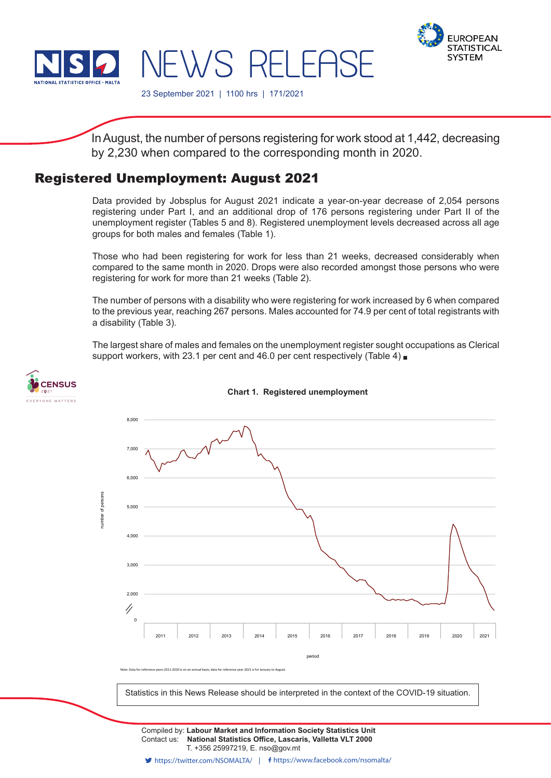



23 September 2021 | 1100 hrs | 171/2021

NEWS RELEASE

In August, the number of persons registering for work stood at 1,442, decreasing by 2,230 when compared to the corresponding month in 2020.

## Registered Unemployment: August 2021

Data provided by Jobsplus for August 2021 indicate a year-on-year decrease of 2,054 persons registering under Part I, and an additional drop of 176 persons registering under Part II of the unemployment register (Tables 5 and 8). Registered unemployment levels decreased across all age groups for both males and females (Table 1).

Those who had been registering for work for less than 21 weeks, decreased considerably when compared to the same month in 2020. Drops were also recorded amongst those persons who were registering for work for more than 21 weeks (Table 2).

The number of persons with a disability who were registering for work increased by 6 when compared to the previous year, reaching 267 persons. Males accounted for 74.9 per cent of total registrants with a disability (Table 3).

The largest share of males and females on the unemployment register sought occupations as Clerical support workers, with 23.1 per cent and 46.0 per cent respectively (Table 4)





Statistics in this News Release should be interpreted in the context of the COVID-19 situation.

Contact us: **National Statistics Office, Lascaris, Valletta VLT 2000** T. +356 25997219, E. nso@gov.mt Compiled by: **Labour Market and Information Society Statistics Unit**

**If https://twitter.com/NSOMALTA/ https://www.facebook.com/nsomalta/**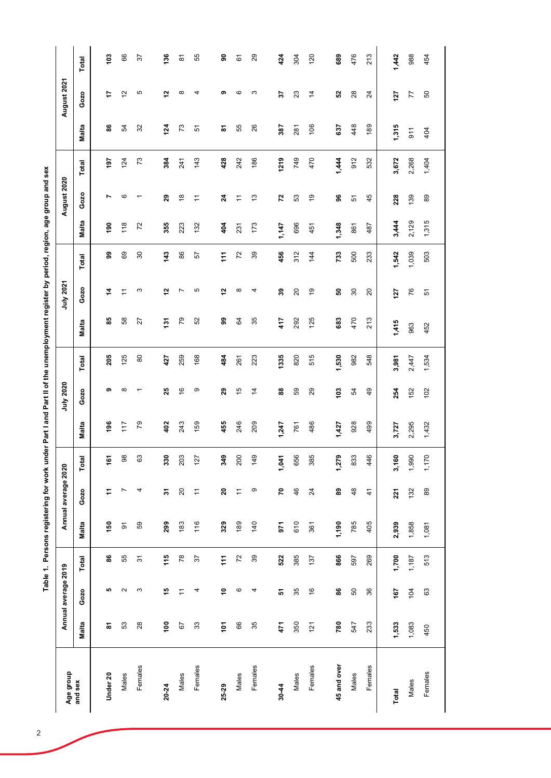| Age group   |               | Annual average 2019 |                |          | Annual average 2020 |                     |       | July 2020      |       |                 | July 2021       |                  |               | August 2020    |       |       | August 2021    |               |
|-------------|---------------|---------------------|----------------|----------|---------------------|---------------------|-------|----------------|-------|-----------------|-----------------|------------------|---------------|----------------|-------|-------|----------------|---------------|
| and sex     | Malta         | Gozo                | <b>Total</b>   | Malta    | Gozo                | Total               | Malta | Gozo           | Total | <b>Malta</b>    | Gozo            | Total            | Malta         | Gozo           | Total | Malta | Gozo           | Total         |
| Under 20    | 5             | မာ                  | 88             | 150      | Ξ                   | پّ                  | 196   | თ              | 205   | 53              | $\ddot{a}$      | ஓ                | $\frac{6}{2}$ | r              | 197   | 86    | 4              | $\frac{2}{3}$ |
| Males       | 53            | $\sim$              | 55             | $\delta$ | Ľ                   | ∞<br>တ              | 117   | $\infty$       | 125   | 58              | Ξ               | 69               | 118           | ဖ              | 124   | 54    | $\tilde{c}$    | 8             |
| Females     | 28            | S                   | $\overline{5}$ | S9       | 4                   | ო<br>Q              | P,    |                | $80$  | 27              | ო               | $\boldsymbol{S}$ | 72            |                | 73    | 32    | Ю              | 57            |
| $20 - 24$   | $\frac{8}{1}$ | င့                  | 115            | 299      | 2                   | ٥<br>ౢ              | 402   | 25             | 427   | $\frac{131}{2}$ | $\frac{2}{3}$   | 143              | 355           | 29             | 384   | 124   | 52             | 136           |
| Males       | 67            | Ξ                   | 78             | 183      | 20                  | უ<br>g              | 243   | $\frac{6}{5}$  | 259   | 79              | r               | 86               | 223           | $\frac{8}{1}$  | 241   | 73    | $\infty$       | 5             |
| Females     | 33            | 4                   | 57             | 116      | $\overline{a}$      | 127                 | 159   | တ              | 168   | 52              | 5               | 57               | 132           | $\overline{1}$ | 143   | 51    | 4              | 55            |
| 25-29       | έ             | Ş                   | <b>FT</b>      | 329      | ន                   | ၜ<br>ž              | 455   | 29             | 484   | 99              | 51              | $\frac{1}{11}$   | 404           | 24             | 428   | 5     | თ              | န္တ           |
| Males       | 86            | G                   | $\overline{z}$ | 189      | $\tilde{t}$         | $\subseteq$<br>20   | 246   | $\frac{5}{2}$  | 261   | \$              | $\infty$        | $\overline{r}$   | 231           | $\overline{1}$ | 242   | 55    | ဖ              | 61            |
| Females     | 35            | 4                   | 39             | 140      | တ                   | တ္<br>$\dot{z}$     | 209   | $\overline{4}$ | 223   | 35              | 4               | 39               | 173           | $\frac{3}{2}$  | 186   | 26    | S              | $_{29}$       |
|             |               |                     |                |          |                     |                     |       |                |       |                 |                 |                  |               |                |       |       |                |               |
| $30-44$     | 471           | 오                   | 522            | 971      | 20                  | 1,041               | 1,247 | 88             | 1335  | 417             | 33              | 456              | 1,147         | 22             | 1219  | 387   | 22             | 424           |
| Males       | 350           | 35                  | 385            | 610      | 46                  | Õ<br>65             | 761   | 59             | 820   | 292             | $\overline{20}$ | 312              | 696           | S3             | 749   | 281   | 23             | 304           |
| Females     | 121           | $\frac{6}{5}$       | 137            | 361      | $\overline{24}$     | ю<br>38             | 486   | 29             | 515   | 125             | $\overline{9}$  | 144              | 451           | $\overline{6}$ | 470   | 106   | $\overline{4}$ | 120           |
| 45 and over | 780           | 88                  | 866            | 1,190    | 89                  | თ<br>1,27           | 1,427 | $\frac{3}{2}$  | 1,530 | 683             | ន               | 733              | 1,348         | 96             | 1,444 | 637   | 52             | 689           |
| Males       | 547           | SO                  | 597            | 785      | 48                  | ო<br>83             | 928   | 54             | 982   | 470             | $30\,$          | 500              | 861           | 51             | 912   | 448   | 28             | 476           |
| Females     | 233           | 36                  | 269            | 405      | $\frac{4}{3}$       | ۱Ó<br>$\ddot{4}$    | 499   | 49             | 548   | 213             | $\overline{c}$  | 233              | 487           | 45             | 532   | 189   | $\overline{a}$ | 213           |
|             |               |                     |                |          |                     |                     |       |                |       |                 |                 |                  |               |                |       |       |                |               |
| Total       | 1,533         | 167                 | 1,700          | 2,939    | 221                 | 3,160               | 3,727 | 254            | 3,981 | 1,415           | 127             | 1,542            | 3,444         | 228            | 3,672 | 1,315 | 127            | 1,442         |
| Males       | 1,083         | 104                 | 1,187          | 1,858    | 132                 | $\supseteq$<br>1,99 | 2,295 | 152            | 2,447 | 963             | 76              | 1,039            | 2,129         | 139            | 2,268 | 911   | 77             | 988           |
| Females     | 450           | 63                  | 513            | 1,081    | 89                  | $\circ$<br>1,17     | 1,432 | 102            | 1,534 | 452             | 51              | 503              | 1,315         | 89             | 1,404 | 404   | SO             | 454           |
|             |               |                     |                |          |                     |                     |       |                |       |                 |                 |                  |               |                |       |       |                |               |

Table 1. Persons registering for work under Part I and Part II of the unemployment register by period, region, age group and sex **Table 1. Persons registering for work under Part I and Part II of the unemployment register by period, region, age group and sex**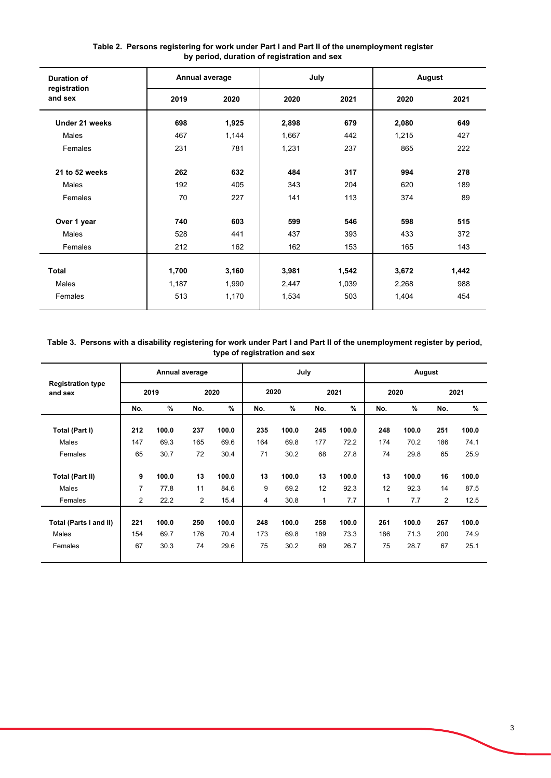| <b>Duration of</b>      | Annual average |       | July  |       | August |       |
|-------------------------|----------------|-------|-------|-------|--------|-------|
| registration<br>and sex | 2019           | 2020  | 2020  | 2021  | 2020   | 2021  |
| Under 21 weeks          | 698            | 1,925 | 2,898 | 679   | 2,080  | 649   |
| Males                   | 467            | 1,144 | 1,667 | 442   | 1,215  | 427   |
| Females                 | 231            | 781   | 1,231 | 237   | 865    | 222   |
| 21 to 52 weeks          | 262            | 632   | 484   | 317   | 994    | 278   |
| Males                   | 192            | 405   | 343   | 204   | 620    | 189   |
| Females                 | 70             | 227   | 141   | 113   | 374    | 89    |
| Over 1 year             | 740            | 603   | 599   | 546   | 598    | 515   |
| Males                   | 528            | 441   | 437   | 393   | 433    | 372   |
| Females                 | 212            | 162   | 162   | 153   | 165    | 143   |
|                         |                |       |       |       |        |       |
| <b>Total</b>            | 1,700          | 3,160 | 3,981 | 1,542 | 3,672  | 1,442 |
| <b>Males</b>            | 1,187          | 1,990 | 2,447 | 1,039 | 2,268  | 988   |
| Females                 | 513            | 1,170 | 1,534 | 503   | 1,404  | 454   |

## **Table 2. Persons registering for work under Part I and Part II of the unemployment register by period, duration of registration and sex**

## **Table 3. Persons with a disability registering for work under Part I and Part II of the unemployment register by period, type of registration and sex**

|                                     |                |       | Annual average |       |      | July  |     |       |              | August |                |       |
|-------------------------------------|----------------|-------|----------------|-------|------|-------|-----|-------|--------------|--------|----------------|-------|
| <b>Registration type</b><br>and sex |                | 2019  |                | 2020  | 2020 |       |     | 2021  | 2020         |        |                | 2021  |
|                                     | No.            | %     | No.            | $\%$  | No.  | %     | No. | %     | No.          | $\%$   | No.            | %     |
| Total (Part I)                      | 212            | 100.0 | 237            | 100.0 | 235  | 100.0 | 245 | 100.0 | 248          | 100.0  | 251            | 100.0 |
| Males                               | 147            | 69.3  | 165            | 69.6  | 164  | 69.8  | 177 | 72.2  | 174          | 70.2   | 186            | 74.1  |
| Females                             | 65             | 30.7  | 72             | 30.4  | 71   | 30.2  | 68  | 27.8  | 74           | 29.8   | 65             | 25.9  |
| <b>Total (Part II)</b>              | 9              | 100.0 | 13             | 100.0 | 13   | 100.0 | 13  | 100.0 | 13           | 100.0  | 16             | 100.0 |
| Males                               | 7              | 77.8  | 11             | 84.6  | 9    | 69.2  | 12  | 92.3  | 12           | 92.3   | 14             | 87.5  |
| Females                             | $\overline{2}$ | 22.2  | $\overline{2}$ | 15.4  | 4    | 30.8  | 1   | 7.7   | $\mathbf{1}$ | 7.7    | $\overline{2}$ | 12.5  |
|                                     | 221            | 100.0 | 250            | 100.0 | 248  | 100.0 | 258 | 100.0 | 261          | 100.0  | 267            | 100.0 |
| Total (Parts I and II)              |                |       |                |       |      |       |     |       |              |        |                |       |
| <b>Males</b>                        | 154            | 69.7  | 176            | 70.4  | 173  | 69.8  | 189 | 73.3  | 186          | 71.3   | 200            | 74.9  |
| Females                             | 67             | 30.3  | 74             | 29.6  | 75   | 30.2  | 69  | 26.7  | 75           | 28.7   | 67             | 25.1  |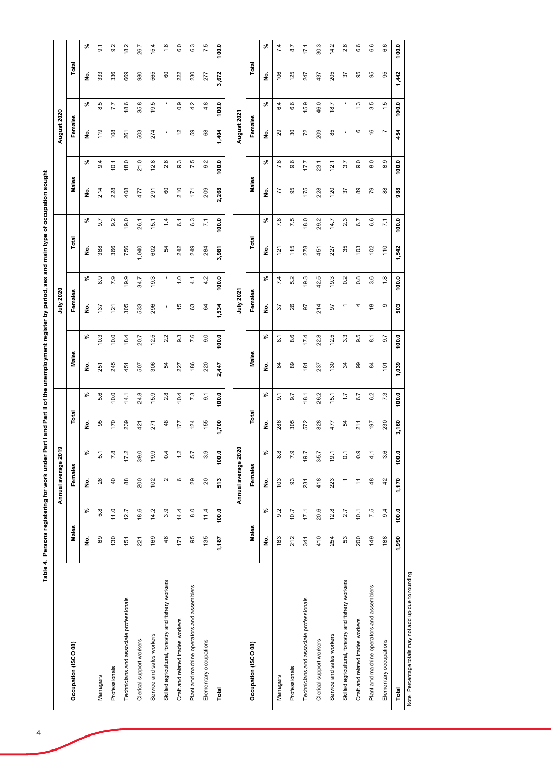|                                                         |       |       | Annual average 201  | თ                |               |                  |                |                  | July 2020      |                  |                |                            |       |       | August 2020   |                            |       |                  |
|---------------------------------------------------------|-------|-------|---------------------|------------------|---------------|------------------|----------------|------------------|----------------|------------------|----------------|----------------------------|-------|-------|---------------|----------------------------|-------|------------------|
| Occupation (ISCO 08)                                    | Males |       | Females             |                  | Total         |                  | Males          |                  | Females        |                  | Total          |                            | Males |       | Females       |                            | Total |                  |
|                                                         | g     | వి    | ş                   | $\mathcal{S}_6$  | ş             | వి               | ş              | వి               | ş              | వి               | ş              | వి                         | ş     | వి    | ş             | వి                         | ş     | వి               |
| Managers                                                | 69    | 5.8   | 26                  | 5.1              | 95            | 5.6              | 251            | 10.3             | 137            | σ<br>ထ           | 388            | 9.7                        | 214   | 9.4   | 119           | 8.5                        | 333   | $\overline{9}$ . |
| Professionals                                           | 130   | 11.0  | $\overline{4}$      | 7.8              | 170           | 10.0             | 245            | 10.0             | $\overline{2}$ | 7.9              | 366            | 9.2                        | 228   | 10.1  | 108           | 7.7                        | 336   | 9.2              |
| Technicians and associate professionals                 | 151   | 12.7  | 88                  | 17.2             | 239           | 14.1             | 451            | 18.4             | 305            | 19.9             | 756            | 19.0                       | 408   | 18.0  | 261           | 18.6                       | 669   | 18.2             |
| Clerical support workers                                | 221   | 18.6  | 200                 | 39.0             | 421           | 24.8             | 507            | 20.7             | 533            | 34.7             | 1,040          | 26.1                       | 477   | 21.0  | 503           | 35.8                       | 980   | 26.7             |
| Service and sales workers                               | 169   | 14.2  | 102                 | 19.9             | 271           | 15.9             | 306            | 12.5             | 296            | 19.3             | 602            | 15.1                       | 291   | 12.8  | 274           | 19.5                       | 565   | 15.4             |
| Skilled agricultural, forestry and fishery workers      | 46    | 3.9   | 2                   | 0.4              | $\frac{8}{3}$ | 2.8              | 54             | 2.2              |                | ٠                | 5              | $\dot{4}$                  | 60    | 2.6   |               |                            | 60    | 1.6              |
| Craft and related trades workers                        | 171   | 14.4  | G                   | 1.2              | 177           | 10.4             | 227            | 9.3              | $\frac{5}{2}$  | 1.0              | 242            | 6.1                        | 210   | 9.3   | $\frac{2}{3}$ | 0.9                        | 222   | 6.0              |
| Plant and machine operators and assemblers              | 95    | 8.0   | 29                  | 5.7              | 124           | 7.3              | 186            | 7.6              | 63             | 4.1              | 249            | 6.3                        | 171   | 7.5   | 59            | 4.2                        | 230   | 6.3              |
| Elementary occupations                                  | 135   | 11.4  | $\overline{20}$     | 3.9              | 155           | $\overline{9}$   | 220            | 0.6              | S4             | 4.2              | 284            | $\overline{71}$            | 209   | 9.2   | 68            | 4.8                        | 277   | 7.5              |
| Total                                                   | 1,187 | 100.0 | 513                 | 100.0            | 1,700         | 100.0            | 2,447          | 100.0            | 1,534          | 100.0            | 3,981          | 100.0                      | 2,268 | 100.0 | 1,404         | 100.0                      | 3,672 | 100.0            |
|                                                         |       |       | Annual average 2020 |                  |               |                  |                |                  | July 2021      |                  |                |                            |       |       | August 2021   |                            |       |                  |
| Occupation (ISCO 08)                                    | Males |       | Females             |                  | Total         |                  | Males          |                  | Females        |                  | Total          |                            | Males |       | Females       |                            | Total |                  |
|                                                         | ş     | వి    | ş                   | ೢೕ               | ş             | వి               | ş              | వి               | ş              | వి               | ş              | $\boldsymbol{\mathcal{S}}$ | ş     | వి    | ş             | $\boldsymbol{\mathcal{S}}$ | ş     | వ్               |
| Managers                                                | 183   | 9.2   | 103                 | 8.8              | 286           | $\overline{9}$ . | $\overline{a}$ | $\overline{8}$   | 75             | 7.4              | $\overline{2}$ | 7.8                        | 77    | 7.8   | 29            | 6.4                        | 106   | 7.4              |
| Professionals                                           | 212   | 10.7  | SS                  | 7.9              | 305           | 9.7              | 89             | 8.6              | 26             | 5.2              | 115            | 7.5                        | 95    | 9.6   | 30            | 6.6                        | 125   | 8.7              |
| Technicians and associate professionals                 | 341   | 17,1  | 231                 | 19.7             | 572           | 18.1             | $\frac{5}{18}$ | 17.4             | 5              | 19.3             | 278            | 18.0                       | 175   | 17.7  | 72            | 15.9                       | 247   | 17.1             |
| Clerical support workers                                | 410   | 20.6  | 418                 | 35.7             | 828           | 26.2             | 237            | 22.8             | 214            | 42.5             | 451            | 29.2                       | 228   | 23.1  | 209           | 46.0                       | 437   | 30.3             |
| Service and sales workers                               | 254   | 12.8  | 223                 | 19.1             | 477           | 15.1             | 130            | 12.5             | 5              | 19.3             | 227            | 14.7                       | 120   | 12.1  | 85            | 18.7                       | 205   | 14.2             |
| Skilled agricultural, forestry and fishery workers      | 53    | 2.7   |                     | $\overline{0}$ . | 5             | 1.7              | 34             | $3.\overline{3}$ |                | 0.2              | 35             | 2.3                        | 57    | 3.7   |               |                            | 57    | 2.6              |
| Craft and related trades workers                        | 200   | 10.1  | ÷                   | 0.9              | 211           | 6.7              | 99             | 9.5              |                | $0.\overline{8}$ | 103            | 6.7                        | 89    | 9.0   | ဖ             | $\ddot{.}3$                | 95    | 6.6              |
| Plant and machine operators and assemblers              | 149   | 7.5   | 48                  | $\frac{1}{4}$    | 197           | 6.2              | $\overline{8}$ | $\overline{8}$ . | $\frac{8}{5}$  | 3.6              | 102            | 6.6                        | 54    | 8.0   | $\frac{6}{5}$ | $3.\overline{5}$           | 95    | 6.6              |
| Elementary occupations                                  | 188   | 9.4   | 42                  | 3.6              | 230           | 7.3              | $\frac{1}{2}$  | 9.7              | ၜ              | 1.8              | 110            | $\overline{71}$            | 88    | 8.9   | Z             | 1.5                        | 95    | 6.6              |
| Total                                                   | 1,990 | 100.0 | 1,170               | 100.0            | 3,160         | 100.0            | 1,039          | 100.0            | 503            | 100.0            | 1,542          | 100.0                      | 988   | 100.0 | 454           | 100.0                      | 1,442 | 100.0            |
| Note: Percentage totals may not add up due to rounding. |       |       |                     |                  |               |                  |                |                  |                |                  |                |                            |       |       |               |                            |       |                  |

Table 4. Persons registering for work under Part I and Part II of the unemployment register by period, sex and main type of occupation sought **Table 4. Persons registering for work under Part I and Part II of the unemployment register by period, sex and main type of occupation sought**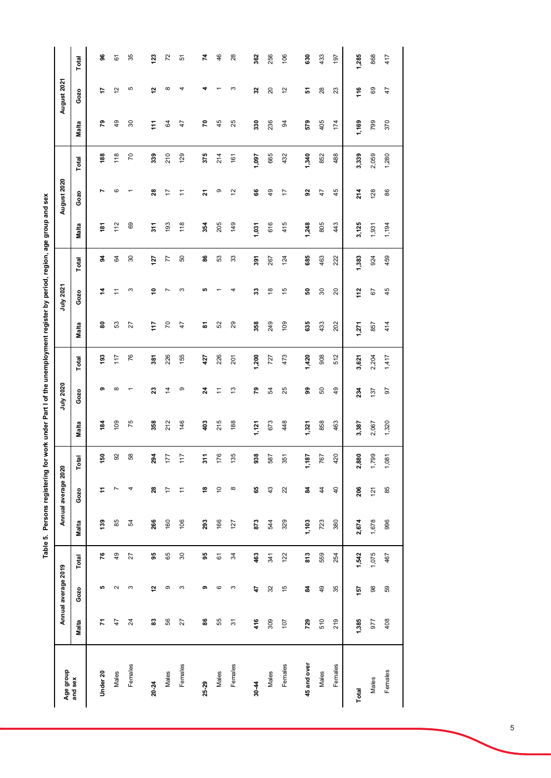| i<br>i<br>:<br>; |  |
|------------------|--|
|                  |  |
| ֚֬֕              |  |
|                  |  |
|                  |  |
|                  |  |
| ì                |  |
|                  |  |
| I                |  |
| l                |  |
|                  |  |
| ĺ<br>l           |  |
| á<br>ï           |  |

| Age group   |              | Annual average 2019     |                   |       | Annual average 2020 |         |       | July 2020      |       |                 | July 2021      |                  |       | August 2020               |                |            | August 2021     |                |
|-------------|--------------|-------------------------|-------------------|-------|---------------------|---------|-------|----------------|-------|-----------------|----------------|------------------|-------|---------------------------|----------------|------------|-----------------|----------------|
| and sex     | <b>Malta</b> | Gozo                    | Total             | Malta | Gozo                | Total   | Malta | Gozo           | Total | Malta           | Gozo           | Total            | Malta | Gozo                      | Total          | Malta      | Gozo            | Total          |
| Under 20    | 7            | ю                       | 76                | 139   | ÷                   | 150     | 184   | ၜ              | 193   | ន               | 4              | 2                | έş    | Ľ                         | 188            | ೭          | 17              | 96             |
| Males       | 47           | $\sim$                  | $\overline{49}$   | 85    | r                   | 92      | 109   | ∞              | 117   | S3              | ≂              | 84               | 112   | ဖ                         | 118            | \$         | $\tilde{c}$     | 61             |
| Females     | 24           | S                       | 27                | R,    | 4                   | 58      | 75    |                | 76    | 27              | ω              | $\boldsymbol{S}$ | 69    |                           | $\overline{C}$ | 80         | Ю               | 35             |
| 20-24       | ន            | $\overline{\mathbf{z}}$ | 95                | 266   | 28                  | 294     | 358   | 23             | 381   | 117             | ş              | 127              | 311   | $\boldsymbol{\mathsf{a}}$ | 339            | $\ddot{t}$ | Ν               | 123            |
| Males       | SS           | ၜ                       | 65                | 160   | $\overline{1}$      | 177     | 212   | $\overline{4}$ | 226   | $\overline{70}$ |                | 77               | 193   | 17                        | 210            | \$         | ∞               | $\overline{r}$ |
| Females     | 27           | S                       | $\boldsymbol{30}$ | 106   | $\overline{1}$      | 117     | 146   | တ              | 155   | 47              | ∞              | 50               | 118   | Ξ                         | 129            | 47         |                 | 57             |
| 25-29       | 86           | ၜ                       | 95                | 293   | \$                  | ᠇<br>5  | 403   | 24             | 427   | ౚ               | ю              | 86               | 354   | 21                        | 375            | 5          |                 | 74             |
| Males       | 55           | ဖ                       | 61                | 166   | $\tilde{=}$         | ō,<br>₽ | 215   | $\overline{a}$ | 226   | S <sub>2</sub>  |                | 53               | 205   | ၜ                         | 214            | 45         |                 | 46             |
| Females     | 57           | S                       | 34                | 127   | $\infty$            | 135     | 188   | $\frac{3}{2}$  | 201   | 29              |                | 33               | 149   | 5                         | 161            | 25         | ς               | 28             |
| $30 - 44$   | 416          | 47                      | 463               | 873   | မ္မ                 | 938     | 1,121 | 54             | 1,200 | 358             | 33             | 391              | 1,031 | န္ၿ                       | 1,097          | 330        | 32              | 362            |
| Males       | 309          | 32                      | 341               | 544   | 43                  | 587     | 673   | 54             | 727   | 249             | $\frac{8}{3}$  | 267              | 616   | $\overline{4}$            | 665            | 236        | $\overline{20}$ | 256            |
| Females     | 107          | 15                      | 122               | 329   | 22                  | 351     | 448   | 25             | 473   | 109             | 15             | 124              | 415   | 17                        | 432            | 34         | $\frac{2}{3}$   | 106            |
| 45 and over | 729          | 84                      | 813               | 1,103 | 24                  | 1,187   | 1,321 | 99             | 1,420 | 635             | ន              | 685              | 1,248 | 95                        | , 340          | 579        | 5               | 630            |
| Males       | 510          | 49                      | 559               | 723   | $\frac{4}{3}$       | 767     | 858   | 50             | 908   | 433             | 30             | 463              | 805   | 47                        | 852            | 405        | 28              | 433            |
| Females     | 219          | 35                      | 254               | 380   | $\overline{40}$     | 420     | 463   | 49             | 512   | 202             | $\overline{c}$ | 222              | 443   | 45                        | 488            | 174        | 23              | 197            |
| Total       | 1,385        | 157                     | 1,542             | 2,674 | 206                 | 2,880   | 3,387 | 234            | 3,621 | 1,271           | 112            | 1,383            | 3,125 | 214                       | 3,339          | 1,169      | 116             | ,285           |
| Males       | 977          | 88                      | 1,075             | 1,678 | 121                 | 1,799   | 2,067 | 137            | 2,204 | 857             | 67             | 924              | 1,931 | 128                       | 2,059          | 799        | 69              | 868            |
| Females     | 408          | 59                      | 467               | 996   | 85                  | 1,081   | 1,320 | 50             | 1,417 | 414             | 45             | 459              | 1,194 | 86                        | 1,280          | 370        | 47              | 417            |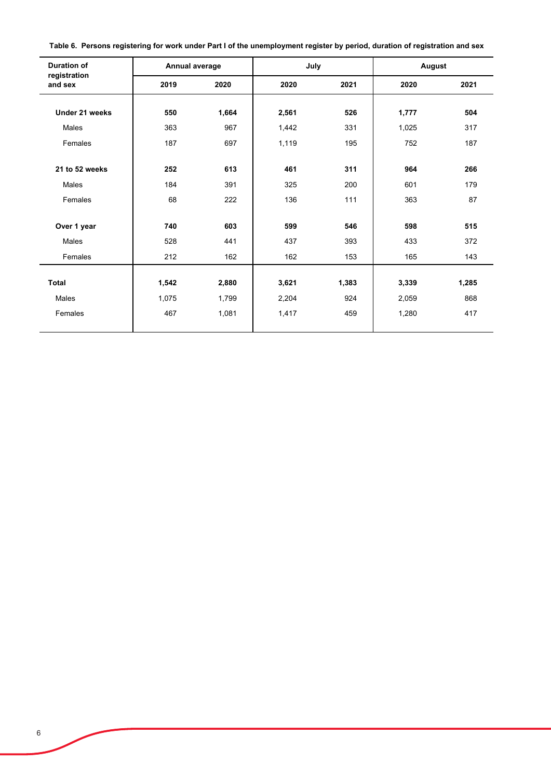| Table 6. Persons registering for work under Part I of the unemployment register by period, duration of registration and sex |  |  |  |  |
|-----------------------------------------------------------------------------------------------------------------------------|--|--|--|--|
|-----------------------------------------------------------------------------------------------------------------------------|--|--|--|--|

| <b>Duration of</b>      | Annual average |       | July  |       | August |       |
|-------------------------|----------------|-------|-------|-------|--------|-------|
| registration<br>and sex | 2019           | 2020  | 2020  | 2021  | 2020   | 2021  |
| Under 21 weeks          | 550            | 1,664 | 2,561 | 526   | 1,777  | 504   |
| Males                   | 363            | 967   | 1,442 | 331   | 1,025  | 317   |
| Females                 | 187            | 697   | 1,119 | 195   | 752    | 187   |
| 21 to 52 weeks          | 252            | 613   | 461   | 311   | 964    | 266   |
| Males                   | 184            | 391   | 325   | 200   | 601    | 179   |
| Females                 | 68             | 222   | 136   | 111   | 363    | 87    |
| Over 1 year             | 740            | 603   | 599   | 546   | 598    | 515   |
| Males                   | 528            | 441   | 437   | 393   | 433    | 372   |
| Females                 | 212            | 162   | 162   | 153   | 165    | 143   |
| <b>Total</b>            | 1,542          | 2,880 | 3,621 | 1,383 | 3,339  | 1,285 |
| Males                   | 1,075          | 1,799 | 2,204 | 924   | 2,059  | 868   |
| Females                 | 467            | 1,081 | 1,417 | 459   | 1,280  | 417   |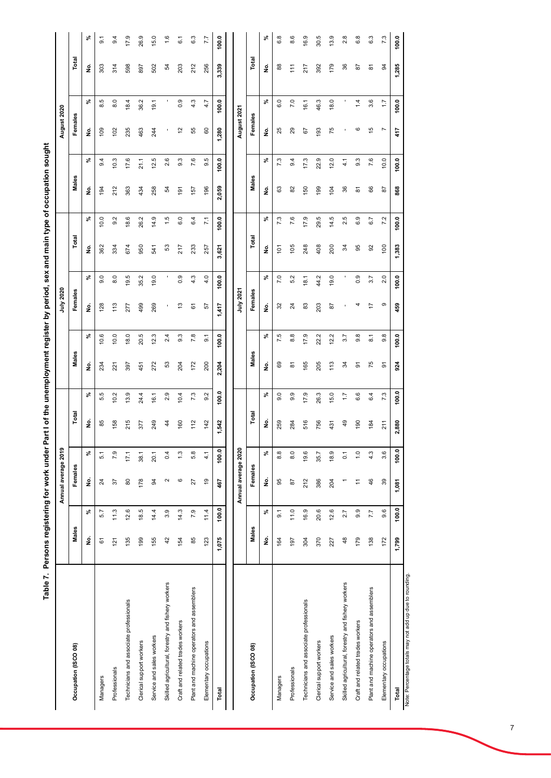|                                                    |          |                  | Annual average 2019 |                  |                |              |          |                  | July 2020          |       |                    |                 |                |       | August 2020   |               |       |                            |
|----------------------------------------------------|----------|------------------|---------------------|------------------|----------------|--------------|----------|------------------|--------------------|-------|--------------------|-----------------|----------------|-------|---------------|---------------|-------|----------------------------|
| Occupation (ISCO 08)                               | Males    |                  | Females             |                  | Total          |              | Males    |                  | Females            |       | Total              |                 | Males          |       | Females       |               | Total |                            |
|                                                    | <u>ؤ</u> | ೢೕ               | ş                   | వి               | g              | వి           | ş        | వి               | $\dot{\mathbf{z}}$ | వి    | $\dot{\mathbf{z}}$ | వి              | g              | వి    | g             | వి            | g     | వి                         |
| Managers                                           | 6        | 5.7              | $^{24}$             | 51               | 85             | 5.5          | 234      | 10.6             | 128                | 0.6   | 362                | 10.0            | $\overline{9}$ | 9.4   | 109           | rú<br>∞       | 303   | $\overline{9}$ .1          |
| Professionals                                      | 121      | 11.3             | 57                  | 7.9              | 158            | 10.2         | 221      | 10.0             | 113                | 8.0   | 334                | 9.2             | 212            | 10.3  | 102           | 8.0           | 314   | 9.4                        |
| Technicians and associate professionals            | 135      | 12.6             | 80                  | 17.1             | 215            | 13.9         | 397      | 18.0             | 277                | 19.5  | 674                | 18.6            | 363            | 17.6  | 235           | 18.4          | 598   | 17.9                       |
| Clerical support workers                           | 199      | 18.5             | 178                 | 38.1             | 377            | 24.4         | 451      | 20.5             | 499                | 35.2  | 950                | 26.2            | 434            | 21.1  | 463           | 36.2          | 897   | 26.9                       |
| Service and sales workers                          | 155      | 14.4             | 34                  | 20.1             | 249            | 16.1         | 272      | 12.3             | 269                | 19.0  | 541                | 14.9            | 258            | 12.5  | 244           | 19.1          | 502   | 15.0                       |
| Skilled agricultural, forestry and fishery workers | 42       | 3.9              | $\sim$              | 0.4              | $\overline{4}$ | 2.9          | S3       | 2.4              |                    |       | S3                 | 1.5             | 54             | 2.6   | ٠             |               | 54    | 1.6                        |
| Craft and related trades workers                   | 154      | 14.3             | $\circ$             | $\ddot{.}3$      | 160            | 10.4         | 204      | 9.3              | مبر<br>ب           | 0.9   | 217                | 6.0             | 191            | 9.3   | 12            | 0.9           | 203   | 6.1                        |
| Plant and machine operators and assemblers         | 85       | 7.9              | 27                  | 5.8              | 112            | 7.3          | 172      | 7.8              | 61                 | 4.3   | 233                | 6.4             | 157            | 7.6   | 55            | 4.3           | 212   | 6.3                        |
| Elementary occupations                             | 123      | 11.4             | 61                  | 4.1              | 142            | 9.2          | 200      | $\overline{9}$ . | 57                 | 4.0   | 257                | $\overline{71}$ | 196            | 9.5   | 60            | 4.7           | 256   | 7.7                        |
| Total                                              | 1,075    | 100.0            | 467                 | 100.0            | 1,542          | 100.0        | 2,204    | 100.0            | 1,417              | 100.0 | 3,621              | 100.0           | 2,059          | 100.0 | 1,280         | 100.0         | 3,339 | 100.0                      |
|                                                    |          |                  |                     |                  |                |              |          |                  |                    |       |                    |                 |                |       |               |               |       |                            |
|                                                    |          |                  | Annual average 2020 |                  |                |              |          |                  | July 2021          |       |                    |                 |                |       | August 2021   |               |       |                            |
| Occupation (ISCO 08)                               | Males    |                  | Females             |                  | Total          |              | Males    |                  | Females            |       | Total              |                 | Males          |       | Females       |               | Total |                            |
|                                                    | ġ        | వ్               | <u>ş</u>            | న్               | ġ              | వి           | <u>ş</u> | వి               | <u>ş</u>           | వి    | ş                  | వి              | <u>ş</u>       | వి    | <u>ş</u>      | వి            | ş     | $\mathcal{S}_{\mathbf{c}}$ |
| Managers                                           | 164      | $\overline{9}$ . | 95                  | 8.8              | 259            | 0.6          | 89       | 7.5              | 32                 | 7.0   | 101                | 7.3             | යි             | 7.3   | 25            | 6.0           | 88    | 6.8                        |
| Professionals                                      | 197      | 11.0             | 87                  | $\overline{8.0}$ | 284            | 9.9          | ౚ        | 8.8              | $\overline{24}$    | 5.2   | 105                | 7.6             | 82             | 9.4   | 29            | 7.0           | 111   | 8.6                        |
| Technicians and associate professionals            | 304      | 16.9             | 212                 | 19.6             | 516            | 17.9         | 165      | 17.9             | $\pmb{\mathbb{S}}$ | 18.1  | 248                | 17.9            | 150            | 17.3  | 67            | 16.1          | 217   | 16.9                       |
| Clerical support workers                           | 370      | 20.6             | 386                 | 35.7             | 756            | 26.3         | 205      | 22.2             | 203                | 44.2  | 408                | 29.5            | 199            | 22.9  | 193           | 46.3          | 392   | 30.5                       |
| Service and sales workers                          | 227      | 12.6             | 204                 | 18.9             | 431            | 15.0         | 113      | 12.2             | 28                 | 19.0  | 200                | 14.5            | 104            | 12.0  | 75            | 18.0          | 179   | 13.9                       |
| Skilled agricultural, forestry and fishery workers | 48       | 2.7              |                     | $\overline{0}$   | $\overline{5}$ | $\ddot{ }$ : | 34       | 3.7              |                    |       | रु                 | 2.5             | 36             | 4.1   |               |               | 36    | 2.8                        |
| Craft and related trades workers                   | 179      | 9.9              | Ξ                   | $\frac{0}{1}$    | 190            | 6.6          | ଚ        | 0.8              | 4                  | 0.9   | 95                 | 6.9             | ౚ              | 9.3   | ဖ             | $\frac{4}{4}$ | 28    | 6.8                        |
| Plant and machine operators and assemblers         | 138      | 7.7              | 46                  | 4.3              | 184            | 6.4          | 75       | $\overline{8}$ . | 17                 | 3.7   | 92                 | 6.7             | 8              | 7.6   | $\frac{5}{3}$ | 3.6           | ౚ     | 6.3                        |
| Elementary occupations                             | 172      | 9.6              | 39                  | 3.6              | 211            | 7.3          | 5        | $9.\overline{8}$ | ၜ                  | 2.0   | 100                | 7.2             | 87             | 10.0  | Z             | 1.7           | 3     | 7.3                        |
| Total                                              | 1,799    | 100.0            | 1,081               | 100.0            | 2,880          | 100.0        | 924      | 100.0            | 459                | 100.0 | 1,383              | 100.0           | 868            | 100.0 | 417           | 100.0         | 1,285 | 100.0                      |

Table 7. Persons registering for work under Part I of the unemployment register by period, sex and main type of occupation sought **Table 7. Persons registering for work under Part I of the unemployment register by period, sex and main type of occupation sought** 

Note: Percentage totals may not add up due to rounding. Note: Percentage totals may not add up due to rounding.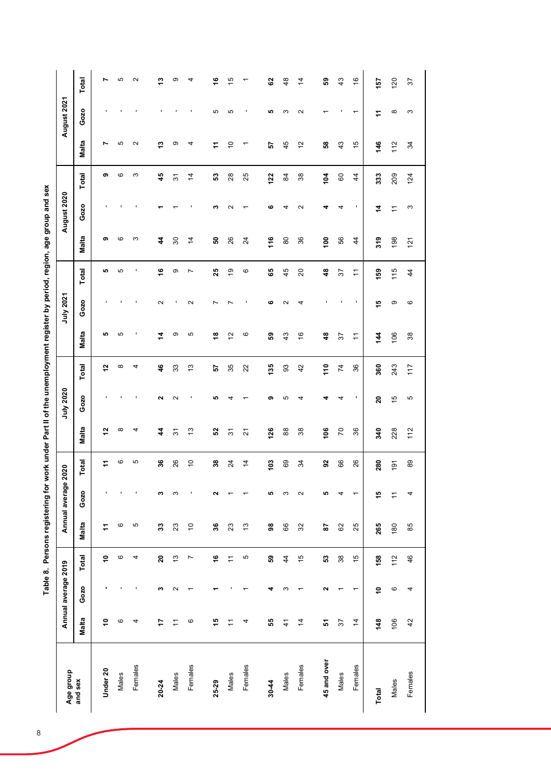| Ď<br>ć                                                       |
|--------------------------------------------------------------|
|                                                              |
|                                                              |
|                                                              |
|                                                              |
| l                                                            |
|                                                              |
| i                                                            |
| Ş<br>ı                                                       |
| ı<br>ć                                                       |
|                                                              |
|                                                              |
|                                                              |
|                                                              |
|                                                              |
|                                                              |
| $\mathbf{I}$                                                 |
| J                                                            |
|                                                              |
|                                                              |
|                                                              |
|                                                              |
|                                                              |
|                                                              |
| :                                                            |
| $\ddot{\phantom{a}}$                                         |
|                                                              |
|                                                              |
|                                                              |
|                                                              |
| ֧֦֧֢֦֧֦֧֦֧֦֧֦֧֦֧֦֧֦֧ׅ֧֪֪֪֪֪֪֪֪֪֪֪֪֪֪֪֪֪֪֪֪֪֪֪֪֪֪֪֪֪֪֪֪֚֬֝֜֓֝ |
| $\frac{1}{2}$                                                |
|                                                              |
| ì                                                            |
| :<br>;<br>;<br>í                                             |
|                                                              |
|                                                              |
| l<br>l                                                       |
| ì                                                            |
| $\overline{\phantom{a}}$<br>ı                                |
| J                                                            |
|                                                              |
|                                                              |
| WWW.<br>į                                                    |
| ı                                                            |
| ,<br>ĺ                                                       |
|                                                              |
| able                                                         |
| I                                                            |

| Age group   |                | Annual average 2019 |                |             | Annual average    | 2020            |                 | July 2020      |                |                | July 2021 |                 |                  | August 2020 |                        |               | August 2021     |                |
|-------------|----------------|---------------------|----------------|-------------|-------------------|-----------------|-----------------|----------------|----------------|----------------|-----------|-----------------|------------------|-------------|------------------------|---------------|-----------------|----------------|
| and sex     | <b>Malta</b>   | Gozo                | Total          | Malta       | Gozo              | Total           | <b>Malta</b>    | Gozo           | Total          | <b>Malta</b>   | Gozo      | Total           | Malta            | Gozo        | Total                  | Malta         | Gozo            | Total          |
| Under 20    | Ş              |                     | Ş              | Ξ           |                   | ż               | 57              |                | 57             | ю              |           | ю               | თ                |             | თ                      | r             |                 | r              |
| Males       | ဖ              |                     | $\circ$        | G           |                   | G               | $\infty$        |                | $\infty$       | 5              |           | 5               | ဖ                |             | G                      | 5             |                 | 5              |
| Females     | 4              |                     | 4              | 5           |                   | 5               | 4               |                | 4              |                |           |                 | S                |             | S                      | $\sim$        |                 | $\sim$         |
| 20-24       | 17             | ω                   | 20             | 33          | ∾                 | 36              | 4               | ົ              | 46             | 4              | $\sim$    | 9               | 4                |             | 45                     | 5             |                 | ო              |
| Males       | Ξ              | $\mathbf{\Omega}$   | $\frac{3}{2}$  | 23          | S                 | $\overline{26}$ | $\overline{5}$  | Ν              | 33             | တ              |           | တ               | $\boldsymbol{S}$ |             | $\overline{5}$         | တ             |                 | တ              |
| Females     | ဖ              |                     | $\overline{ }$ | $\tilde{0}$ |                   | $\tilde{=}$     | $\frac{3}{2}$   |                | $\frac{3}{2}$  | 5              | N         | N               | $\overline{4}$   |             | $\overline{4}$         | 4             |                 | 4              |
| 25-29       | 45             |                     | $\frac{6}{5}$  | 36          | N                 | 38              | S2              | <b>5</b>       | 57             | \$             | r         | 25              | ន                | ∾           | ន                      | ÷,            | Ю               | $\frac{6}{5}$  |
| Males       | $\tilde{+}$    |                     | $\overline{a}$ | 23          |                   | $\overline{24}$ | $\overline{5}$  |                | 35             | $\frac{2}{3}$  |           | $\overline{9}$  | 26               | $\sim$      | 28                     | $\tilde{0}$   | Ю               | 15             |
| Females     | 4              |                     | Ю              | 13          |                   | $\overline{4}$  | $\overline{2}$  |                | 22             | ဖ              |           | ဖ               | $\overline{2}$   |             | 25                     |               |                 |                |
|             |                |                     |                |             |                   |                 |                 |                |                |                |           |                 |                  |             |                        |               |                 |                |
| 30-44       | 55             | d                   | S9             | $\bf{38}$   | ю                 | 103             | 126             | თ              | 135            | င္ပ            | ဖ         | 65              | 116              | ဖ           | 122                    | 57            | ю               | 29             |
| Males       | $\frac{4}{3}$  | ω                   | $\overline{4}$ | 86          | ω                 | 69              | 88              | 5              | 93             | 43             | Ν         | 45              | 80               | 4           | 84                     | 45            | ω               | $\frac{8}{3}$  |
| Females     | $\overline{4}$ |                     | $\frac{15}{2}$ | 32          | $\mathbf{\Omega}$ | 34              | 38              | 4              | 42             | $\frac{6}{5}$  | 4         | $\overline{20}$ | 36               | $\sim$      | 38                     | 12            | $\mathbf{\sim}$ | $\overline{4}$ |
|             |                |                     |                |             | ю                 | 59              |                 |                | 110            | $\frac{4}{6}$  |           | $\frac{8}{4}$   | $\frac{00}{1}$   |             |                        |               |                 |                |
| 45 and over | 5              | Z                   | ន              | 29          |                   |                 | 106             | d              |                |                |           |                 |                  | 4           | 104                    | 58            |                 | S9             |
| Males       | 57             |                     | 38             | 62          | 4                 | 88              | $\overline{70}$ | 4              | $\overline{7}$ | 57             |           | 57              | 56               | 4           | $\mbox{ }^\mathsf{SO}$ | 43            |                 | 43             |
| Females     | $\overline{4}$ | ᠇                   | $\frac{1}{2}$  | 25          |                   | 26              | 36              |                | 36             | $\overline{ }$ |           | $\overline{ }$  | $\overline{4}$   | ٠           | $\overline{4}$         | $\frac{5}{3}$ |                 | $\frac{6}{5}$  |
| Total       | 148            | Ş                   | 158            | 265         | 49                | 280             | 340             | $\overline{a}$ | 360            | $\frac{4}{4}$  | ю         | 159             | 319              | 4           | 333                    | 146           | ᡓ               | 157            |
| Males       | 106            | $\mathbf \circ$     | 112            | 180         | $\overline{1}$    | 191             | 228             | $\frac{5}{3}$  | 243            | 106            | တ         | 115             | 198              | Ξ           | 209                    | 112           | $\infty$        | 120            |
| Females     | 42             | 4                   | 46             | 85          | 4                 | 89              | 112             | Ю              | 117            | 38             | ဖ         | $\overline{4}$  | 121              | S           | 124                    | 34            | S               | 57             |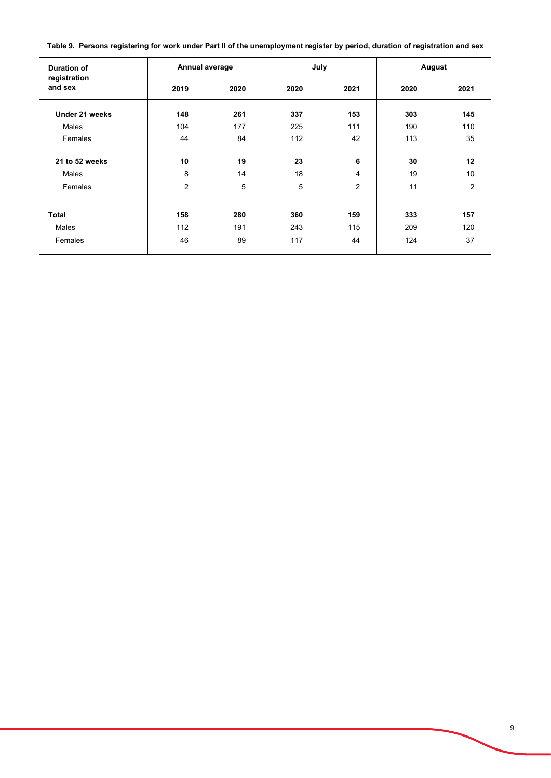**Table 9. Persons registering for work under Part II of the unemployment register by period, duration of registration and sex**

| <b>Duration of</b><br>registration | Annual average |      | July |                | August |                |
|------------------------------------|----------------|------|------|----------------|--------|----------------|
| and sex                            | 2019           | 2020 | 2020 | 2021           | 2020   | 2021           |
| Under 21 weeks                     | 148            | 261  | 337  | 153            | 303    | 145            |
| Males                              | 104            | 177  | 225  | 111            | 190    | 110            |
| Females                            | 44             | 84   | 112  | 42             | 113    | 35             |
| 21 to 52 weeks                     | 10             | 19   | 23   | 6              | 30     | 12             |
| Males                              | 8              | 14   | 18   | 4              | 19     | 10             |
| Females                            | 2              | 5    | 5    | $\overline{2}$ | 11     | $\overline{2}$ |
| <b>Total</b>                       | 158            | 280  | 360  | 159            | 333    | 157            |
| Males                              | 112            | 191  | 243  | 115            | 209    | 120            |
| Females                            | 46             | 89   | 117  | 44             | 124    | 37             |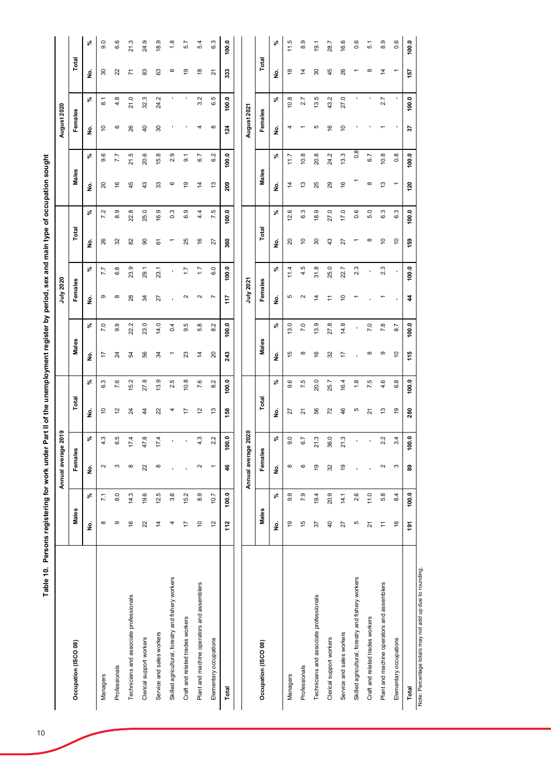|                                                         |                |                           | Annual average 2019                   |                    |                |                  |                    |               | <b>July 2020</b>   |                  |                          |                  |                |                  | August 2020    |                  |                    |                  |
|---------------------------------------------------------|----------------|---------------------------|---------------------------------------|--------------------|----------------|------------------|--------------------|---------------|--------------------|------------------|--------------------------|------------------|----------------|------------------|----------------|------------------|--------------------|------------------|
| Occupation (ISCO 08)                                    | Males          |                           | Females                               |                    | Total          |                  | Males              |               | Females            |                  | Total                    |                  | Males          |                  | Females        |                  | Total              |                  |
|                                                         | ş              | $\mathbf{S}^{\mathbf{c}}$ | $\frac{\dot{\mathsf{S}}}{\mathsf{Z}}$ | వి                 | ş              | వి               | $\dot{\mathbf{z}}$ | వి            | $\dot{\mathbf{z}}$ | వి               | ġ                        | వి               | ş              | వి               | ş              | వి               | $\dot{\mathbf{z}}$ | వి               |
| Managers                                                | $\infty$       | 7.1                       | $\sim$                                | w                  | $\tilde{c}$    | 6.3              | ₽                  | 7.0           | თ                  | 7.7              | 26                       | 7.2              | $\overline{c}$ | 9.6              | S              | $\overline{8}$ . | ౚ                  | 9.0              |
| Professionals                                           | တ              | 8.0                       | S                                     | က                  | $\frac{2}{3}$  | 7.6              | র                  | 9.9           | $\infty$           | 6.8              | 32                       | 8.9              | $\frac{6}{5}$  | 7.7              | ဖ              | 4.8              | ನ                  | 6.6              |
| Technicians and associate professionals                 | $\frac{6}{5}$  | 14.3                      | $\infty$                              | 4<br>₽             | 24             | 15.2             | 24                 | 22.2          | 28                 | 23.9             | $82$                     | 22.8             | 45             | 21.5             | 26             | 21.0             | Σ                  | 21.3             |
| Clerical support workers                                | $\mathbf{z}$   | 19.6                      | 22                                    | œ<br>$\frac{4}{7}$ | 4              | 27.8             | 99                 | 23.0          | æ                  | 29.1             | $\overline{90}$          | 25.0             | 43             | 20.6             | $\overline{a}$ | 32.3             | 83                 | 24.9             |
| Service and sales workers                               | $\overline{4}$ | 12.5                      | ${}^{\circ}$                          | 4<br>÷,            | 22             | 13.9             | रू                 | 14.0          | 27                 | 23.1             | $\overline{6}$           | 16.9             | 33             | 15.8             | 30             | 24.2             | යි                 | 18.9             |
| Skilled agricultural, forestry and fishery workers      | 4              | 3.6                       |                                       |                    | 4              | 2.5              |                    | 0.4           |                    |                  | $\overline{\phantom{0}}$ | $0.\overline{3}$ | ဖ              | 2.9              |                | ı                | ဖ                  | 1.8              |
| Craft and related trades workers                        | $\overline{1}$ | 15.2                      |                                       |                    | ⋍              | 10.8             | 23                 | rÜ.<br>ၜ      | $\sim$             | $\overline{1}$ . | 25                       | 6.9              | $\overline{9}$ | $\overline{9}$ . |                | ı                | ഇ                  | 5.7              |
| Plant and machine operators and assemblers              | $\tilde{a}$    | 8.9                       | 2                                     | w                  | $\frac{2}{3}$  | 7.6              | $\ddot{4}$         | $\infty$<br>ယ | $\sim$             | $\overline{1}$ : | $\frac{6}{5}$            | 4.4              | $\overline{4}$ | 6.7              |                | 3.2              | $\frac{8}{5}$      | 5.4              |
| Elementary occupations                                  | $\tilde{c}$    | 10.7                      |                                       | 2                  | $\frac{3}{2}$  | 8.2              | $\Omega$           | 8.2           | L                  | 6.0              | 27                       | 7.5              | $\frac{3}{2}$  | 6.2              | ${}^{\circ}$   | 6.5              | ಸ                  | 6.3              |
| Total                                                   | 112            | 100.0                     | $\frac{4}{5}$                         | Q<br>$\frac{8}{2}$ | 158            | 100.0            | 243                | 100.0         | 117                | 100.0            | 360                      | 100.0            | 209            | 100.0            | 124            | 100.0            | 333                | 100.0            |
|                                                         |                |                           | Annual average 2020                   |                    |                |                  |                    |               | July 2021          |                  |                          |                  |                |                  | August 2021    |                  |                    |                  |
| Occupation (ISCO 08)                                    | Males          |                           | Females                               |                    | Total          |                  | Males              |               | Females            |                  | Total                    |                  | Males          |                  | Females        |                  | Total              |                  |
|                                                         | ş              | వి                        | غ<br>ع                                | వి                 | ş              | వి               | ş                  | వి            | ş                  | వి               | ş                        | వి               | ş              | వి               | ş              | వి               | ş                  | వి               |
| Managers                                                | $\overline{9}$ | 9.9                       | $\infty$                              | Q                  | 27             | 9.6              | 15                 | 13.0          | Ю                  | 11.4             | 20                       | 12.6             | $\ddot{4}$     | 11.7             |                | 10.8             | $\frac{8}{3}$      | 11.5             |
| Professionals                                           | 15             | 7.9                       | $\circ$                               |                    | ಸ              | 7.5              | $\infty$           | 7.0           | $\sim$             | 4.5              | ٥,                       | 6.3              | 13             | 10.8             |                | 2.7              | 4                  | 8.9              |
| Technicians and associate professionals                 | 57             | 19.4                      | $\frac{6}{5}$                         | ŵ<br>2             | 56             | 20.0             | $\frac{6}{2}$      | 13.9          | ⋣                  | 31.8             | $\boldsymbol{30}$        | 18.9             | 25             | 20.8             | 5              | 13.5             | 8                  | 19.1             |
| Clerical support workers                                | $\overline{a}$ | 20.9                      | 32                                    | Q<br>8             | 72             | 25.7             | 32                 | 27.8          | Ξ                  | 25.0             | 43                       | 27.0             | 29             | 24.2             | $\frac{6}{5}$  | 43.2             | 45                 | 28.7             |
| Service and sales workers                               | 27             | 14.1                      | $\overline{9}$                        | ن<br>2             | 46             | 16.4             | 17                 | 14.8          | S                  | 22.7             | 27                       | 17.0             | $\frac{6}{5}$  | 13.3             | $\overline{C}$ | 27.0             | 26                 | 16.6             |
| Skilled agricultural, forestry and fishery workers      | Ю              | 2.6                       |                                       |                    | 5              | 1.8              |                    |               |                    | 2.3              |                          | 0.6              |                | 0.8              |                |                  |                    | 0.6              |
| Craft and related trades workers                        | $\overline{2}$ | 11.0                      |                                       |                    | ಸ              | 7.5              | $\infty$           | 7.0           |                    |                  | ∞                        | 5.0              | $\infty$       | 6.7              |                | J.               | $\infty$           | $\overline{5}$ . |
| Plant and machine operators and assemblers              | $\overline{a}$ | 5.8                       | $\sim$                                | Ņ                  | $\frac{3}{2}$  | 4.6              | တ                  | 7.8           |                    | 2.3              | $\tilde{0}$              | 6.3              | 13             | 10.8             |                | 2.7              | 4                  | 8.9              |
| Elementary occupations                                  | $\frac{6}{5}$  | 8.4                       | S                                     | 4                  | $\overline{9}$ | $6.\overline{8}$ | $\overline{C}$     | 8.7           |                    |                  | $\overline{0}$           | 6.3              | ↽              | $0.\overline{8}$ |                |                  |                    | 0.6              |
| Total                                                   | 191            | 100.0                     | 89                                    | ō<br>$\frac{8}{1}$ | 280            | 100.0            | 115                | 100.0         | 4                  | 100.0            | 159                      | 100.0            | 120            | 100.0            | 5              | 100.0            | 157                | 100.0            |
| Note: Percentage totals may not add up due to rounding. |                |                           |                                       |                    |                |                  |                    |               |                    |                  |                          |                  |                |                  |                |                  |                    |                  |